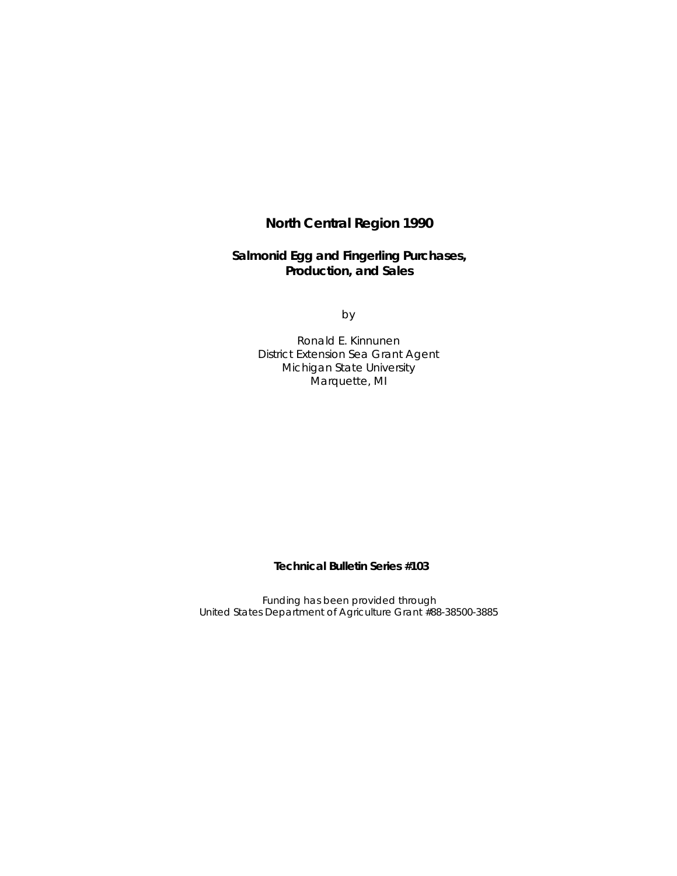# **North Central Region 1990**

**Salmonid Egg and Fingerling Purchases, Production, and Sales**

by

Ronald E. Kinnunen District Extension Sea Grant Agent Michigan State University Marquette, MI

**Technical Bulletin Series #103**

Funding has been provided through United States Department of Agriculture Grant #88-38500-3885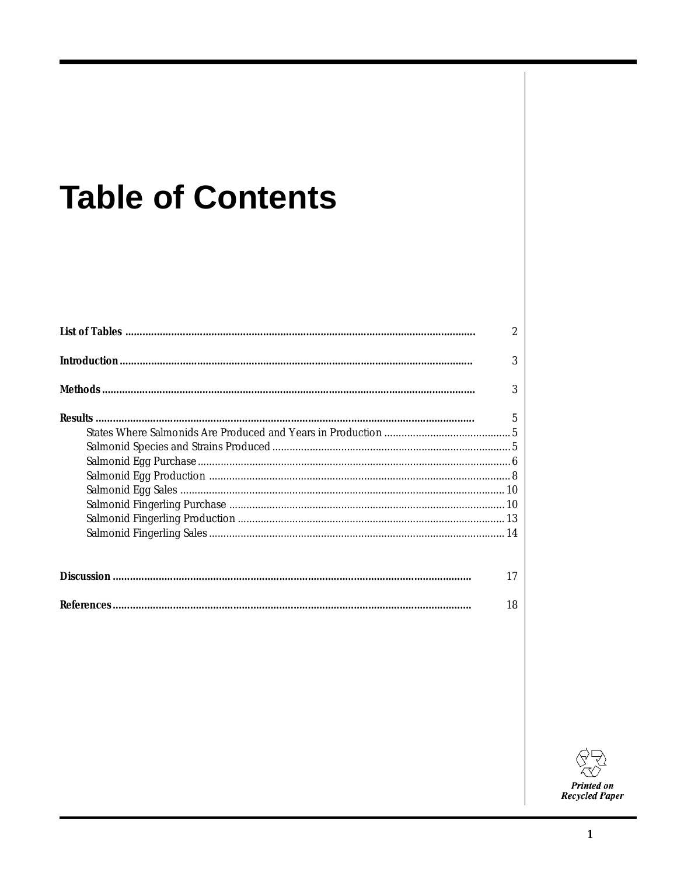# **Table of Contents**

| 2              |
|----------------|
| 3              |
| 3              |
| $\overline{5}$ |
|                |
|                |
|                |
|                |
|                |
|                |
|                |
|                |
|                |
| 17             |

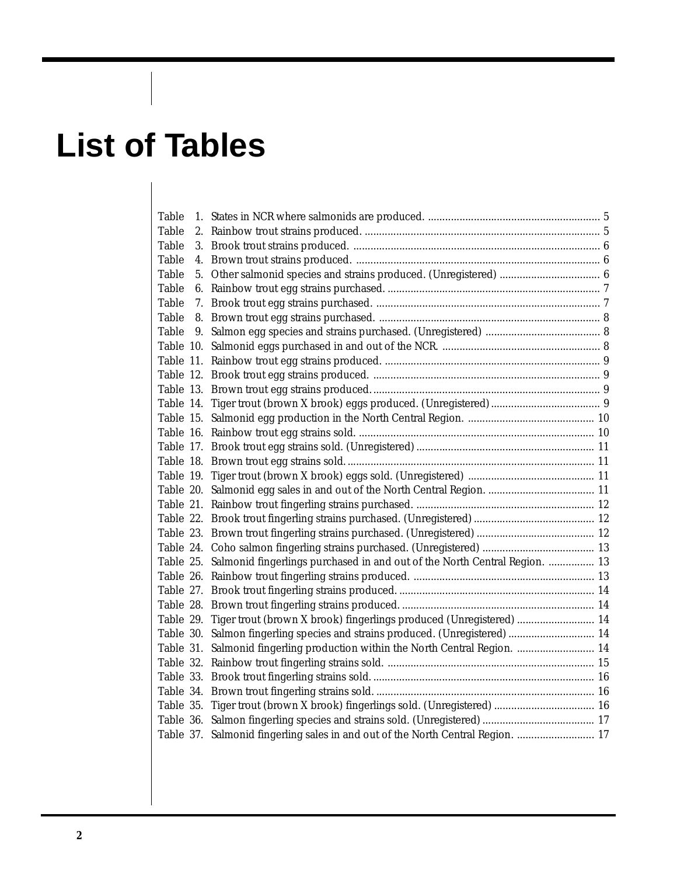# **List of Tables**

| Table |                                                                                      |  |
|-------|--------------------------------------------------------------------------------------|--|
| Table |                                                                                      |  |
| Table |                                                                                      |  |
| Table |                                                                                      |  |
| Table |                                                                                      |  |
| Table |                                                                                      |  |
| Table |                                                                                      |  |
| Table |                                                                                      |  |
| Table |                                                                                      |  |
|       |                                                                                      |  |
|       |                                                                                      |  |
|       |                                                                                      |  |
|       |                                                                                      |  |
|       |                                                                                      |  |
|       |                                                                                      |  |
|       |                                                                                      |  |
|       |                                                                                      |  |
|       |                                                                                      |  |
|       |                                                                                      |  |
|       |                                                                                      |  |
|       |                                                                                      |  |
|       |                                                                                      |  |
|       |                                                                                      |  |
|       |                                                                                      |  |
|       | Table 25. Salmonid fingerlings purchased in and out of the North Central Region.  13 |  |
|       |                                                                                      |  |
|       |                                                                                      |  |
|       |                                                                                      |  |
|       | Table 29. Tiger trout (brown X brook) fingerlings produced (Unregistered)  14        |  |
|       | Table 30. Salmon fingerling species and strains produced. (Unregistered)  14         |  |
|       | Table 31. Salmonid fingerling production within the North Central Region.  14        |  |
|       |                                                                                      |  |
|       |                                                                                      |  |
|       |                                                                                      |  |
|       |                                                                                      |  |
|       |                                                                                      |  |
|       | Table 37. Salmonid fingerling sales in and out of the North Central Region.  17      |  |
|       |                                                                                      |  |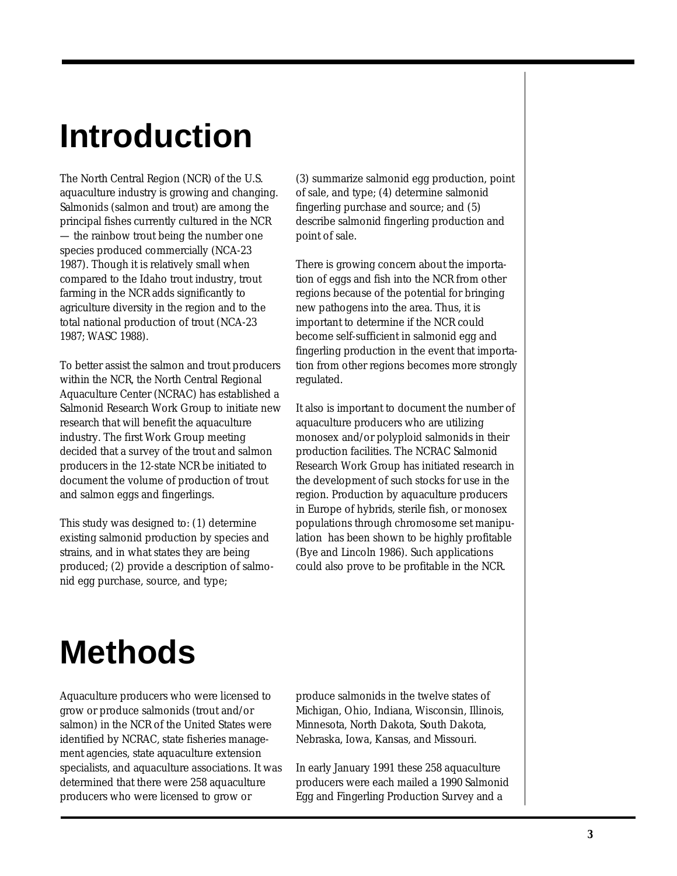# **Introduction**

The North Central Region (NCR) of the U.S. aquaculture industry is growing and changing. Salmonids (salmon and trout) are among the principal fishes currently cultured in the NCR — the rainbow trout being the number one species produced commercially (NCA-23 1987). Though it is relatively small when compared to the Idaho trout industry, trout farming in the NCR adds significantly to agriculture diversity in the region and to the total national production of trout (NCA-23 1987; WASC 1988).

To better assist the salmon and trout producers within the NCR, the North Central Regional Aquaculture Center (NCRAC) has established a Salmonid Research Work Group to initiate new research that will benefit the aquaculture industry. The first Work Group meeting decided that a survey of the trout and salmon producers in the 12-state NCR be initiated to document the volume of production of trout and salmon eggs and fingerlings.

This study was designed to: (1) determine existing salmonid production by species and strains, and in what states they are being produced; (2) provide a description of salmonid egg purchase, source, and type;

(3) summarize salmonid egg production, point of sale, and type; (4) determine salmonid fingerling purchase and source; and (5) describe salmonid fingerling production and point of sale.

There is growing concern about the importation of eggs and fish into the NCR from other regions because of the potential for bringing new pathogens into the area. Thus, it is important to determine if the NCR could become self-sufficient in salmonid egg and fingerling production in the event that importation from other regions becomes more strongly regulated.

It also is important to document the number of aquaculture producers who are utilizing monosex and/or polyploid salmonids in their production facilities. The NCRAC Salmonid Research Work Group has initiated research in the development of such stocks for use in the region. Production by aquaculture producers in Europe of hybrids, sterile fish, or monosex populations through chromosome set manipulation has been shown to be highly profitable (Bye and Lincoln 1986). Such applications could also prove to be profitable in the NCR.

# **Methods**

Aquaculture producers who were licensed to grow or produce salmonids (trout and/or salmon) in the NCR of the United States were identified by NCRAC, state fisheries management agencies, state aquaculture extension specialists, and aquaculture associations. It was determined that there were 258 aquaculture producers who were licensed to grow or

produce salmonids in the twelve states of Michigan, Ohio, Indiana, Wisconsin, Illinois, Minnesota, North Dakota, South Dakota, Nebraska, Iowa, Kansas, and Missouri.

In early January 1991 these 258 aquaculture producers were each mailed a 1990 Salmonid Egg and Fingerling Production Survey and a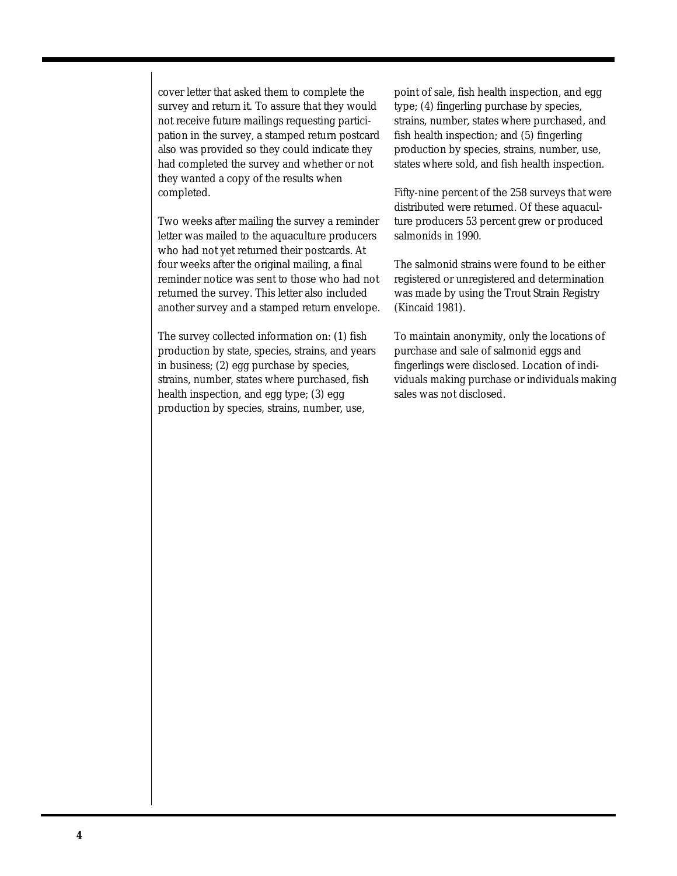cover letter that asked them to complete the survey and return it. To assure that they would not receive future mailings requesting participation in the survey, a stamped return postcard also was provided so they could indicate they had completed the survey and whether or not they wanted a copy of the results when completed.

Two weeks after mailing the survey a reminder letter was mailed to the aquaculture producers who had not yet returned their postcards. At four weeks after the original mailing, a final reminder notice was sent to those who had not returned the survey. This letter also included another survey and a stamped return envelope.

The survey collected information on: (1) fish production by state, species, strains, and years in business; (2) egg purchase by species, strains, number, states where purchased, fish health inspection, and egg type; (3) egg production by species, strains, number, use,

point of sale, fish health inspection, and egg type; (4) fingerling purchase by species, strains, number, states where purchased, and fish health inspection; and (5) fingerling production by species, strains, number, use, states where sold, and fish health inspection.

Fifty-nine percent of the 258 surveys that were distributed were returned. Of these aquaculture producers 53 percent grew or produced salmonids in 1990.

The salmonid strains were found to be either registered or unregistered and determination was made by using the Trout Strain Registry (Kincaid 1981).

To maintain anonymity, only the locations of purchase and sale of salmonid eggs and fingerlings were disclosed. Location of individuals making purchase or individuals making sales was not disclosed.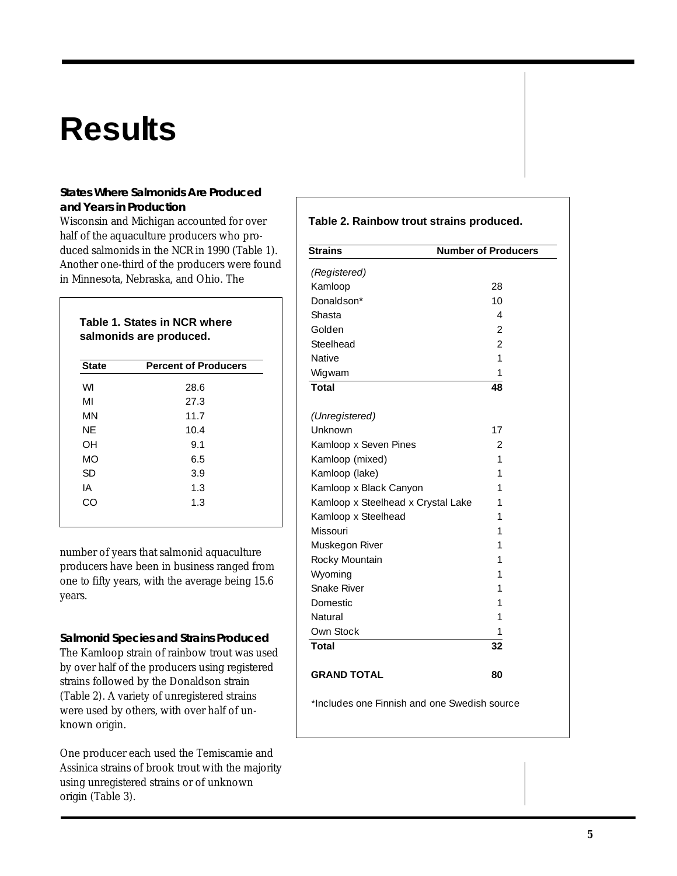# **Results**

## **States Where Salmonids Are Produced and Years in Production**

Wisconsin and Michigan accounted for over half of the aquaculture producers who produced salmonids in the NCR in 1990 (Table 1). Another one-third of the producers were found in Minnesota, Nebraska, and Ohio. The

**Table 1. States in NCR where salmonids are produced.**

| <b>State</b> | <b>Percent of Producers</b> |  |
|--------------|-----------------------------|--|
| WI           | 28.6                        |  |
| MI           | 27.3                        |  |
| ΜN           | 11.7                        |  |
| ΝE           | 10.4                        |  |
| OН           | 9.1                         |  |
| МO           | 6.5                         |  |
| SD           | 3.9                         |  |
| ΙA           | 1.3                         |  |
| CΩ           | 1.3                         |  |

number of years that salmonid aquaculture producers have been in business ranged from one to fifty years, with the average being 15.6 years.

**Salmonid Species and Strains Produced** The Kamloop strain of rainbow trout was used by over half of the producers using registered strains followed by the Donaldson strain (Table 2). A variety of unregistered strains were used by others, with over half of unknown origin.

One producer each used the Temiscamie and Assinica strains of brook trout with the majority using unregistered strains or of unknown origin (Table 3).

# **Table 2. Rainbow trout strains produced. Strains Number of Producers** *(Registered)* Kamloop 28 Donaldson\* 10 Shasta 4 Golden 2 Steelhead 2 Native 1 Wigwam 1 **Total 48** *(Unregistered)* Unknown 17 Kamloop x Seven Pines 2 Kamloop (mixed) 1 Kamloop (lake) 1 Kamloop x Black Canyon 1 Kamloop x Steelhead x Crystal Lake 1 Kamloop x Steelhead 1 Missouri 1 Muskegon River 1 Rocky Mountain **1** and 1 Wyoming 1 Snake River 1 Domestic 2001 1 Natural 1 Own Stock 1 **Total 32 GRAND TOTAL 80**

\*Includes one Finnish and one Swedish source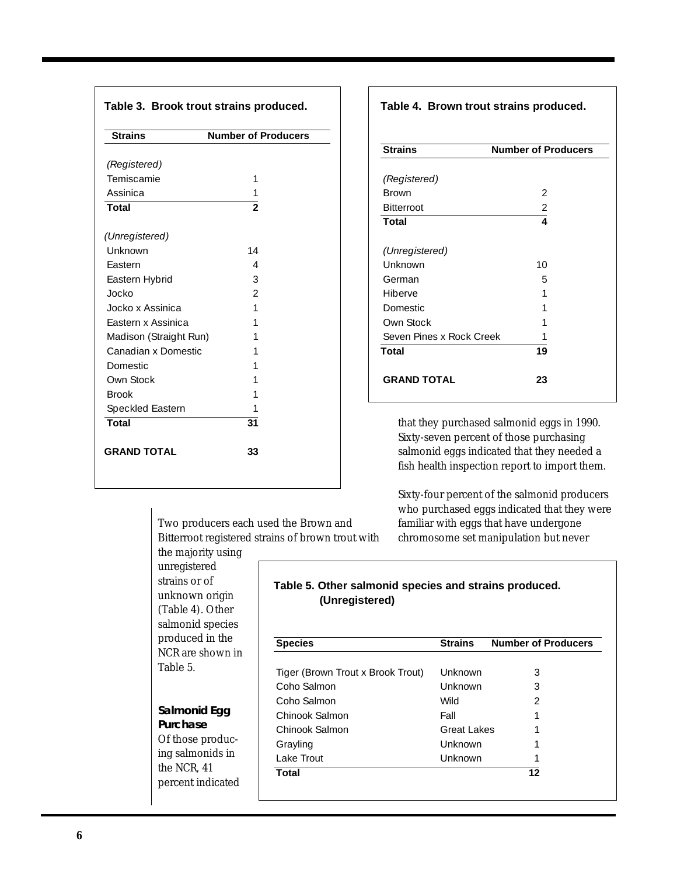| <b>Strains</b>               | <b>Number of Producers</b> |
|------------------------------|----------------------------|
| (Registered)                 |                            |
| Temiscamie                   | 1                          |
| Assinica                     | 1                          |
| <b>Total</b>                 | $\frac{1}{2}$              |
| (Unregistered)               |                            |
| Unknown                      | 14                         |
| Fastern                      | 4                          |
| Eastern Hybrid               | 3                          |
| Jocko                        | $\mathfrak{D}$             |
| Jocko x Assinica             | 1                          |
| Eastern x Assinica           | 1                          |
| Madison (Straight Run)       | 1                          |
| Canadian x Domestic          | 1                          |
| <b>Domestic</b>              | 1                          |
| Own Stock                    | 1                          |
| <b>Brook</b>                 | 1                          |
| Speckled Eastern             | 1                          |
| $\overline{\mathsf{T}}$ otal | 31                         |
| <b>GRAND TOTAL</b>           | 33                         |

**Table 4. Brown trout strains produced.**

| <b>Strains</b>           | <b>Number of Producers</b> |
|--------------------------|----------------------------|
|                          |                            |
| (Registered)             |                            |
| <b>Brown</b>             | 2                          |
| <b>Bitterroot</b>        | $\overline{2}$             |
| <b>Total</b>             | 4                          |
| (Unregistered)           |                            |
| Unknown                  | 10                         |
| German                   | 5                          |
| Hiberve                  | 1                          |
| <b>Domestic</b>          | 1                          |
| Own Stock                | 1                          |
| Seven Pines x Rock Creek | 1                          |
| <b>Total</b>             | 19                         |
| <b>GRAND TOTAL</b>       | 23                         |

that they purchased salmonid eggs in 1990. Sixty-seven percent of those purchasing salmonid eggs indicated that they needed a fish health inspection report to import them.

Sixty-four percent of the salmonid producers who purchased eggs indicated that they were familiar with eggs that have undergone chromosome set manipulation but never

Two producers each used the Brown and Bitterroot registered strains of brown trout with

the majority using unregistered strains or of unknown origin (Table 4). Other salmonid species produced in the NCR are shown in Table 5.

**Salmonid Egg Purchase** Of those producing salmonids in the NCR, 41 percent indicated

## **Table 5. Other salmonid species and strains produced. (Unregistered)**

| <b>Species</b>                    | <b>Strains</b> | <b>Number of Producers</b> |
|-----------------------------------|----------------|----------------------------|
| Tiger (Brown Trout x Brook Trout) | Unknown        | 3                          |
| Coho Salmon                       | Unknown        | 3                          |
| Coho Salmon                       | <b>Wild</b>    | $\mathcal{P}$              |
| Chinook Salmon                    | Fall           |                            |
| Chinook Salmon                    | Great Lakes    |                            |
| Grayling                          | Unknown        |                            |
| Lake Trout                        | Unknown        |                            |
| <b>Total</b>                      |                | 12                         |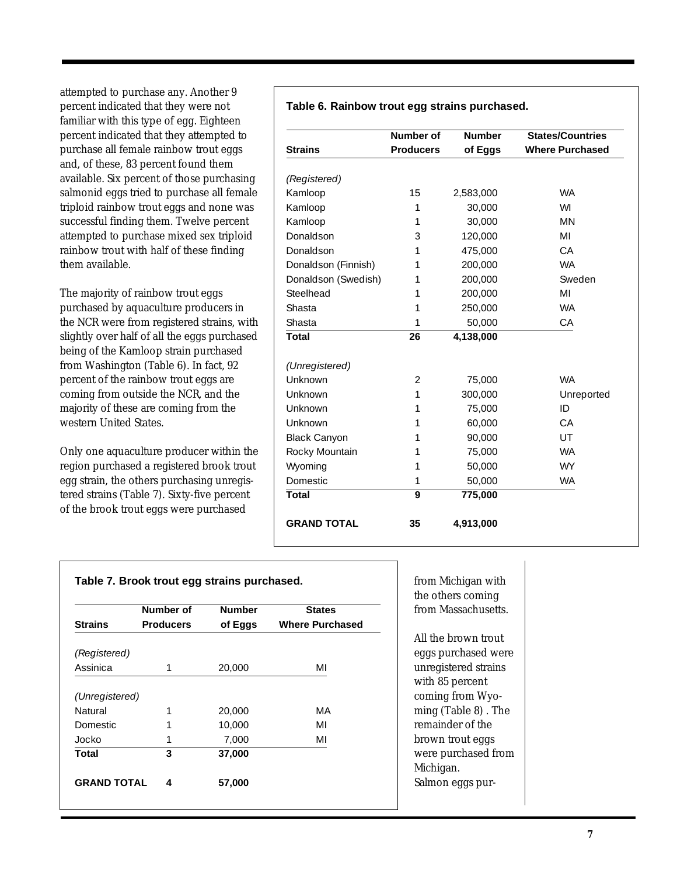attempted to purchase any. Another 9 percent indicated that they were not familiar with this type of egg. Eighteen percent indicated that they attempted to purchase all female rainbow trout eggs and, of these, 83 percent found them available. Six percent of those purchasing salmonid eggs tried to purchase all female triploid rainbow trout eggs and none was successful finding them. Twelve percent attempted to purchase mixed sex triploid rainbow trout with half of these finding them available.

The majority of rainbow trout eggs purchased by aquaculture producers in the NCR were from registered strains, with slightly over half of all the eggs purchased being of the Kamloop strain purchased from Washington (Table 6). In fact, 92 percent of the rainbow trout eggs are coming from outside the NCR, and the majority of these are coming from the western United States.

Only one aquaculture producer within the region purchased a registered brook trout egg strain, the others purchasing unregistered strains (Table 7). Sixty-five percent of the brook trout eggs were purchased

|  |  |  |  | Table 6. Rainbow trout egg strains purchased. |
|--|--|--|--|-----------------------------------------------|
|--|--|--|--|-----------------------------------------------|

|                     | <b>Number of</b> | <b>Number</b> | <b>States/Countries</b> |
|---------------------|------------------|---------------|-------------------------|
| <b>Strains</b>      | <b>Producers</b> | of Eggs       | <b>Where Purchased</b>  |
| (Registered)        |                  |               |                         |
| Kamloop             | 15               | 2,583,000     | <b>WA</b>               |
| Kamloop             | 1                | 30,000        | WI                      |
| Kamloop             | 1                | 30,000        | <b>MN</b>               |
| Donaldson           | 3                | 120,000       | ΜI                      |
| Donaldson           | 1                | 475,000       | CA                      |
| Donaldson (Finnish) | 1                | 200,000       | <b>WA</b>               |
| Donaldson (Swedish) | 1                | 200,000       | Sweden                  |
| Steelhead           | 1                | 200,000       | MI                      |
| Shasta              | 1                | 250,000       | <b>WA</b>               |
| Shasta              | 1                | 50,000        | CA                      |
| <b>Total</b>        | 26               | 4,138,000     |                         |
|                     |                  |               |                         |
| (Unregistered)      |                  |               |                         |
| Unknown             | $\overline{2}$   | 75,000        | <b>WA</b>               |
| Unknown             | 1                | 300,000       | Unreported              |
| Unknown             | 1                | 75,000        | ID                      |
| Unknown             | 1                | 60,000        | CA                      |
| <b>Black Canyon</b> | 1                | 90,000        | UT                      |
| Rocky Mountain      | 1                | 75,000        | <b>WA</b>               |
| Wyoming             | 1                | 50,000        | <b>WY</b>               |
| Domestic            | 1                | 50,000        | <b>WA</b>               |
| <b>Total</b>        | 9                | 775,000       |                         |
| <b>GRAND TOTAL</b>  | 35               | 4,913,000     |                         |

|                    | Number of        | <b>Number</b> | <b>States</b>          |
|--------------------|------------------|---------------|------------------------|
| <b>Strains</b>     | <b>Producers</b> | of Eggs       | <b>Where Purchased</b> |
| (Registered)       |                  |               |                        |
| Assinica           | 1                | 20,000        | MI                     |
| (Unregistered)     |                  |               |                        |
| Natural            | 1                | 20,000        | MA                     |
| <b>Domestic</b>    | 1                | 10,000        | MI                     |
| Jocko              | 1                | 7,000         | MI                     |
| Total              | 3                | 37,000        |                        |
| <b>GRAND TOTAL</b> | 4                | 57,000        |                        |

from Michigan with the others coming from Massachusetts.

All the brown trout eggs purchased were unregistered strains with 85 percent coming from Wyoming (Table 8) . The remainder of the brown trout eggs were purchased from Michigan. Salmon eggs pur-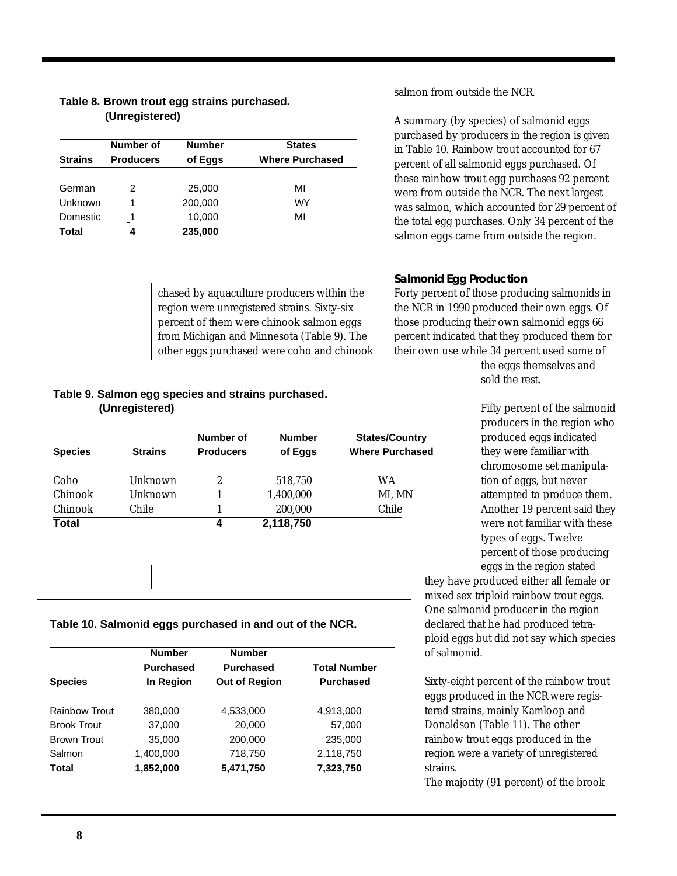| Table 8. Brown trout egg strains purchased.<br>(Unregistered) |                  |               |                        |  |
|---------------------------------------------------------------|------------------|---------------|------------------------|--|
|                                                               | Number of        | <b>Number</b> | <b>States</b>          |  |
| <b>Strains</b>                                                | <b>Producers</b> | of Eggs       | <b>Where Purchased</b> |  |
| German                                                        | $\mathcal{P}$    | 25,000        | MI                     |  |
| Unknown                                                       |                  | 200,000       | <b>WY</b>              |  |
| <b>Domestic</b>                                               |                  | 10,000        | MI                     |  |
| Total                                                         | 4                | 235,000       |                        |  |

chased by aquaculture producers within the region were unregistered strains. Sixty-six percent of them were chinook salmon eggs from Michigan and Minnesota (Table 9). The other eggs purchased were coho and chinook

**Species Strains Producers of Eggs Where Purchased**

Coho Unknown 2 518,750 WA Chinook Unknown 1 1,400,000 MI, MN Chinook Chile 1 200,000 Chile

**Number of Number States/Country**

salmon from outside the NCR.

A summary (by species) of salmonid eggs purchased by producers in the region is given in Table 10. Rainbow trout accounted for 67 percent of all salmonid eggs purchased. Of these rainbow trout egg purchases 92 percent were from outside the NCR. The next largest was salmon, which accounted for 29 percent of the total egg purchases. Only 34 percent of the salmon eggs came from outside the region.

# **Salmonid Egg Production**

Forty percent of those producing salmonids in the NCR in 1990 produced their own eggs. Of those producing their own salmonid eggs 66 percent indicated that they produced them for their own use while 34 percent used some of

the eggs themselves and sold the rest.

Fifty percent of the salmonid producers in the region who produced eggs indicated they were familiar with chromosome set manipulation of eggs, but never attempted to produce them. Another 19 percent said they were not familiar with these types of eggs. Twelve percent of those producing eggs in the region stated

they have produced either all female or mixed sex triploid rainbow trout eggs. One salmonid producer in the region declared that he had produced tetraploid eggs but did not say which species of salmonid.

Sixty-eight percent of the rainbow trout eggs produced in the NCR were registered strains, mainly Kamloop and Donaldson (Table 11). The other rainbow trout eggs produced in the region were a variety of unregistered strains.

The majority (91 percent) of the brook

# **Table 10. Salmonid eggs purchased in and out of the NCR.**

**Table 9. Salmon egg species and strains purchased.**

**Total 4 2,118,750**

 **(Unregistered)**

|                    | <b>Number</b>    | <b>Number</b>        |                     |  |
|--------------------|------------------|----------------------|---------------------|--|
|                    | <b>Purchased</b> | <b>Purchased</b>     | <b>Total Number</b> |  |
| <b>Species</b>     | In Region        | <b>Out of Region</b> | <b>Purchased</b>    |  |
|                    |                  |                      |                     |  |
| Rainbow Trout      | 380,000          | 4,533,000            | 4,913,000           |  |
| <b>Brook Trout</b> | 37,000           | 20,000               | 57,000              |  |
| <b>Brown Trout</b> | 35,000           | 200,000              | 235,000             |  |
| Salmon             | 1,400,000        | 718,750              | 2,118,750           |  |
| Total              | 1,852,000        | 5,471,750            | 7,323,750           |  |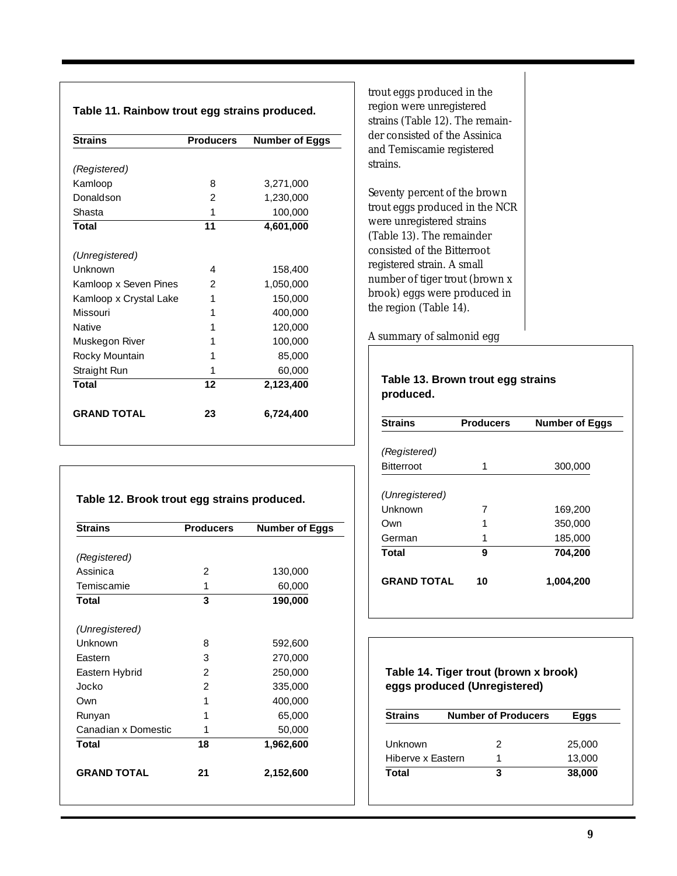### **Table 11. Rainbow trout egg strains produced.**

| <b>Strains</b>         | <b>Producers</b> | <b>Number of Eggs</b> |
|------------------------|------------------|-----------------------|
|                        |                  |                       |
| (Registered)           |                  |                       |
| Kamloop                | 8                | 3,271,000             |
| Donaldson              | 2                | 1,230,000             |
| Shasta                 | 1                | 100,000               |
| Total                  | 11               | 4,601,000             |
| (Unregistered)         |                  |                       |
| Unknown                | 4                | 158,400               |
| Kamloop x Seven Pines  | $\mathfrak{D}$   | 1,050,000             |
| Kamloop x Crystal Lake | 1                | 150,000               |
| Missouri               | 1                | 400,000               |
| <b>Native</b>          | 1                | 120,000               |
| Muskegon River         | 1                | 100,000               |
| Rocky Mountain         | 1                | 85,000                |
| Straight Run           | 1                | 60,000                |
| <b>Total</b>           | 12               | 2,123,400             |
| <b>GRAND TOTAL</b>     | 23               | 6,724,400             |

### **Table 12. Brook trout egg strains produced.**

| <b>Producers</b> | <b>Number of Eggs</b> |
|------------------|-----------------------|
|                  |                       |
|                  |                       |
| 2                | 130,000               |
| 1                | 60,000                |
| 3                | 190,000               |
|                  |                       |
| 8                | 592,600               |
| 3                | 270,000               |
| 2                | 250,000               |
| 2                | 335,000               |
| 1                | 400,000               |
| 1                | 65,000                |
| 1                | 50,000                |
| 18               | 1,962,600             |
| 21               | 2,152,600             |
|                  |                       |

trout eggs produced in the region were unregistered strains (Table 12). The remainder consisted of the Assinica and Temiscamie registered strains.

Seventy percent of the brown trout eggs produced in the NCR were unregistered strains (Table 13). The remainder consisted of the Bitterroot registered strain. A small number of tiger trout (brown x brook) eggs were produced in the region (Table 14).

A summary of salmonid egg

### **Table 13. Brown trout egg strains produced.**

| <b>Producers</b> | <b>Number of Eggs</b> |
|------------------|-----------------------|
|                  |                       |
|                  |                       |
| 1                | 300,000               |
|                  |                       |
|                  |                       |
| 7                | 169,200               |
| 1                | 350,000               |
| 1                | 185,000               |
| 9                | 704,200               |
| 10               | 1,004,200             |
|                  |                       |

# **Table 14. Tiger trout (brown x brook) eggs produced (Unregistered)**

| <b>Strains</b>    | <b>Number of Producers</b> | Eggs   |
|-------------------|----------------------------|--------|
| Unknown           | 2                          | 25,000 |
| Hiberve x Eastern |                            | 13,000 |
| Total             | з                          | 38,000 |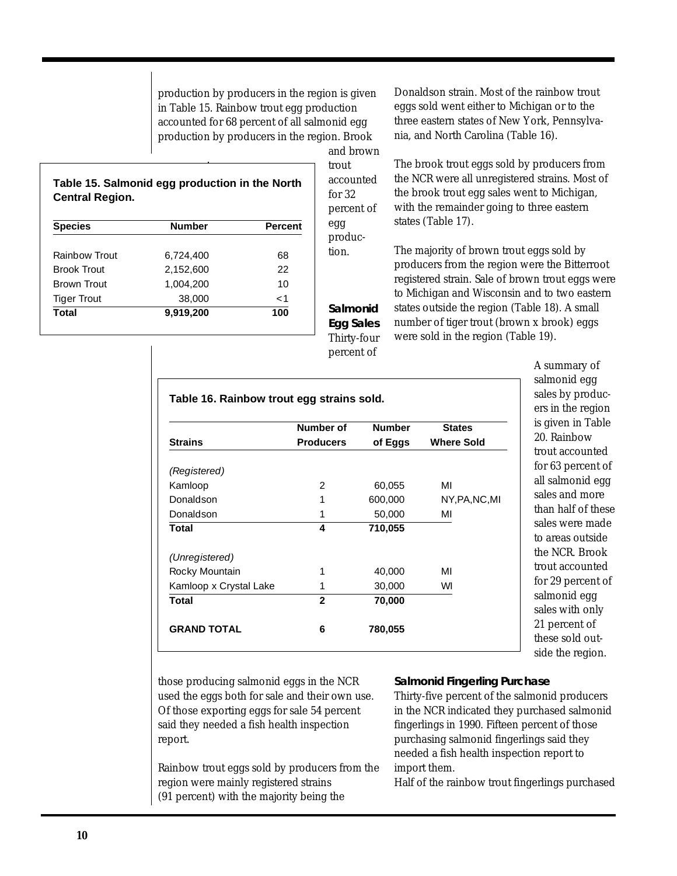production by producers in the region is given in Table 15. Rainbow trout egg production accounted for 68 percent of all salmonid egg production by producers in the region. Brook

> and brown trout accounted for 32 percent of egg production.

**Salmonid Egg Sales** Thirty-four percent of

## **Table 15. Salmonid egg production in the North Central Region.**

| <b>Species</b>     | <b>Number</b> | Percent |
|--------------------|---------------|---------|
| Rainbow Trout      | 6,724,400     | 68      |
| <b>Brook Trout</b> | 2.152.600     | 22      |
| Brown Trout        | 1,004,200     | 10      |
| <b>Tiger Trout</b> | 38,000        | $<$ 1   |
| <b>Total</b>       | 9,919,200     | 100     |

Donaldson strain. Most of the rainbow trout eggs sold went either to Michigan or to the three eastern states of New York, Pennsylvania, and North Carolina (Table 16).

The brook trout eggs sold by producers from the NCR were all unregistered strains. Most of the brook trout egg sales went to Michigan, with the remainder going to three eastern states (Table 17).

The majority of brown trout eggs sold by producers from the region were the Bitterroot registered strain. Sale of brown trout eggs were to Michigan and Wisconsin and to two eastern states outside the region (Table 18). A small number of tiger trout (brown x brook) eggs were sold in the region (Table 19).

| A summary of       |
|--------------------|
| salmonid egg       |
| sales by produc-   |
| ers in the region  |
| is given in Table  |
| 20. Rainbow        |
| trout accounted    |
| for 63 percent of  |
| all salmonid egg   |
| sales and more     |
| than half of these |
| sales were made    |
| to areas outside   |
| the NCR. Brook     |
| trout accounted    |
| for 29 percent of  |
| salmonid egg       |
| sales with only    |
| 21 percent of      |
| these sold out-    |
| side the region.   |

|                        | Number of        | <b>Number</b> | <b>States</b>     |
|------------------------|------------------|---------------|-------------------|
| <b>Strains</b>         | <b>Producers</b> | of Eggs       | <b>Where Sold</b> |
| (Registered)           |                  |               |                   |
| Kamloop                | 2                | 60,055        | MI                |
| Donaldson              | 1                | 600,000       | NY, PA, NC, MI    |
| Donaldson              | 1                | 50,000        | MI                |
| Total                  | 4                | 710,055       |                   |
| (Unregistered)         |                  |               |                   |
| Rocky Mountain         | 1                | 40,000        | MI                |
| Kamloop x Crystal Lake | 1                | 30,000        | WI                |
| <b>Total</b>           | $\mathbf{2}$     | 70,000        |                   |
| <b>GRAND TOTAL</b>     | 6                | 780,055       |                   |

those producing salmonid eggs in the NCR used the eggs both for sale and their own use. Of those exporting eggs for sale 54 percent said they needed a fish health inspection report.

Rainbow trout eggs sold by producers from the region were mainly registered strains (91 percent) with the majority being the

**Salmonid Fingerling Purchase**

Thirty-five percent of the salmonid producers in the NCR indicated they purchased salmonid fingerlings in 1990. Fifteen percent of those purchasing salmonid fingerlings said they needed a fish health inspection report to import them.

Half of the rainbow trout fingerlings purchased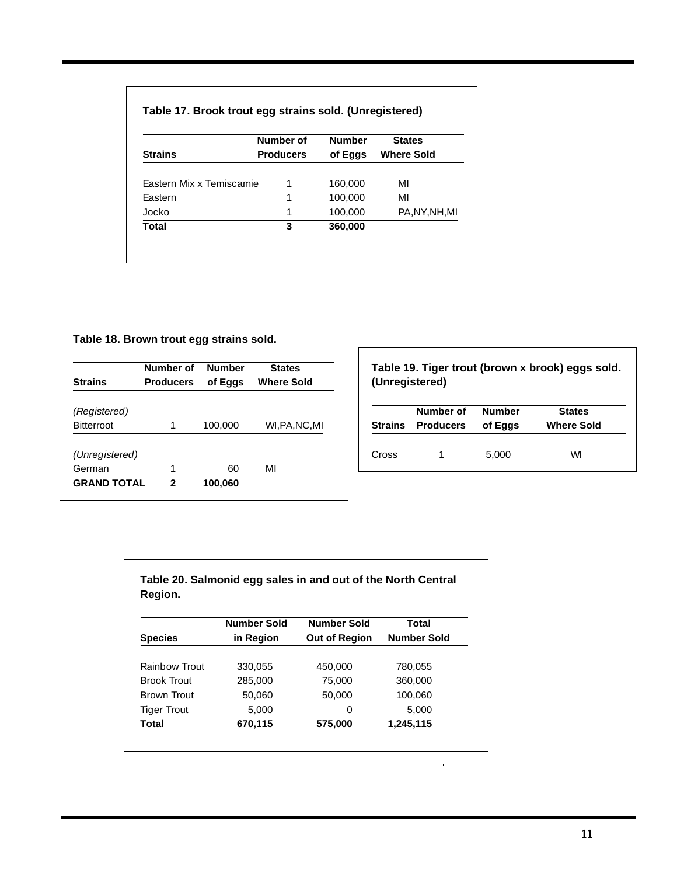| Table 17. Brook trout egg strains sold. (Unregistered) |  |  |
|--------------------------------------------------------|--|--|
|--------------------------------------------------------|--|--|

|                                 | Number of        | <b>Number</b> | <b>States</b>     |
|---------------------------------|------------------|---------------|-------------------|
| <b>Strains</b>                  | <b>Producers</b> | of Eggs       | <b>Where Sold</b> |
|                                 |                  |               |                   |
| <b>Fastern Mix x Temiscamie</b> | 1                | 160,000       | MI                |
| Eastern                         | 1                | 100,000       | MI                |
| Jocko                           | 1                | 100,000       | PA, NY, NH, MI    |
| Total                           | 3                | 360,000       |                   |

|                    | Number of        | <b>Number</b> | <b>States</b>     |
|--------------------|------------------|---------------|-------------------|
| <b>Strains</b>     | <b>Producers</b> | of Eggs       | <b>Where Sold</b> |
| (Registered)       |                  |               |                   |
| <b>Bitterroot</b>  | 1                | 100,000       | WLPA.NC.MI        |
| (Unregistered)     |                  |               |                   |
| German             | 1                | 60            | MI                |
| <b>GRAND TOTAL</b> | 2                | 100,060       |                   |

## **Table 19. Tiger trout (brown x brook) eggs sold. (Unregistered)**

|       | Number of<br>Strains Producers of Eggs | Number | <b>States</b><br><b>Where Sold</b> |
|-------|----------------------------------------|--------|------------------------------------|
| Cross |                                        | 5,000  | WI                                 |

 $\hat{\mathcal{A}}$ 

| Table 20. Salmonid egg sales in and out of the North Central |  |
|--------------------------------------------------------------|--|
| Region.                                                      |  |

|                    | <b>Number Sold</b> | <b>Number Sold</b>   | Total              |
|--------------------|--------------------|----------------------|--------------------|
| <b>Species</b>     | in Region          | <b>Out of Region</b> | <b>Number Sold</b> |
|                    |                    |                      |                    |
| Rainbow Trout      | 330,055            | 450,000              | 780,055            |
| <b>Brook Trout</b> | 285,000            | 75,000               | 360,000            |
| Brown Trout        | 50,060             | 50,000               | 100,060            |
| <b>Tiger Trout</b> | 5,000              | 0                    | 5,000              |
| Total              | 670,115            | 575,000              | 1,245,115          |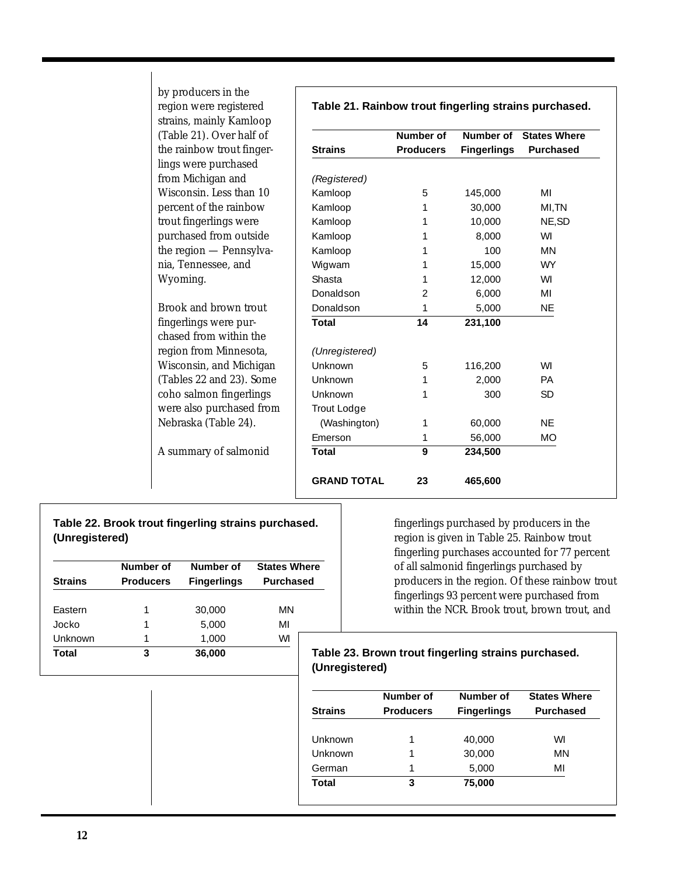| region were registered                              | Table 21. Rainbow trout fingerling strains purchased. |                  |                    |                     |
|-----------------------------------------------------|-------------------------------------------------------|------------------|--------------------|---------------------|
| strains, mainly Kamloop<br>(Table 21). Over half of |                                                       | <b>Number of</b> | <b>Number of</b>   | <b>States Where</b> |
| the rainbow trout finger-                           | <b>Strains</b>                                        | <b>Producers</b> | <b>Fingerlings</b> | <b>Purchased</b>    |
| lings were purchased                                |                                                       |                  |                    |                     |
| from Michigan and                                   | (Registered)                                          |                  |                    |                     |
| Wisconsin. Less than 10                             | Kamloop                                               | 5                | 145,000            | MI                  |
| percent of the rainbow                              | Kamloop                                               | 1                | 30,000             | MI,TN               |
| trout fingerlings were                              | Kamloop                                               | 1                | 10,000             | NE, SD              |
| purchased from outside                              | Kamloop                                               | 1                | 8,000              | WI                  |
| the region - Pennsylva-                             | Kamloop                                               | 1                | 100                | MN                  |
| nia, Tennessee, and                                 | Wigwam                                                | 1                | 15,000             | <b>WY</b>           |
| Wyoming.                                            | Shasta                                                | 1                | 12,000             | WI                  |
|                                                     | Donaldson                                             | 2                | 6,000              | MI                  |
| Brook and brown trout                               | Donaldson                                             | 1                | 5,000              | <b>NE</b>           |
| fingerlings were pur-                               | <b>Total</b>                                          | 14               | 231,100            |                     |
| chased from within the                              |                                                       |                  |                    |                     |
| region from Minnesota,                              | (Unregistered)                                        |                  |                    |                     |
| Wisconsin, and Michigan                             | Unknown                                               | 5                | 116,200            | WI                  |
| (Tables 22 and 23). Some                            | Unknown                                               | 1                | 2,000              | <b>PA</b>           |
| coho salmon fingerlings                             | Unknown                                               | 1                | 300                | <b>SD</b>           |
| were also purchased from                            | Trout Lodge                                           |                  |                    |                     |
| Nebraska (Table 24).                                | (Washington)                                          | 1                | 60,000             | <b>NE</b>           |
|                                                     | Emerson                                               | 1                | 56,000             | <b>MO</b>           |
| A summary of salmonid                               | <b>Total</b>                                          | 9                | 234,500            |                     |
|                                                     | <b>GRAND TOTAL</b>                                    | 23               | 465,600            |                     |

## **Table 22. Brook trout fingerling strains purchased. (Unregistered)**

by producers in the

|                | Number of        | Number of          | <b>States Where</b>   |
|----------------|------------------|--------------------|-----------------------|
| <b>Strains</b> | <b>Producers</b> | <b>Fingerlings</b> | <b>Purchased</b>      |
|                |                  |                    |                       |
| Eastern        | 1                | 30,000             | ΜN                    |
| Jocko          | 1                | 5,000              | MI                    |
| Unknown        | 1                | 1,000              | WI                    |
| <b>Total</b>   | 3                | 36,000             | Tal<br>$\overline{a}$ |

fingerlings purchased by producers in the region is given in Table 25. Rainbow trout fingerling purchases accounted for 77 percent of all salmonid fingerlings purchased by producers in the region. Of these rainbow trout fingerlings 93 percent were purchased from within the NCR. Brook trout, brown trout, and

### **Total 3 36,000 Table 23. Brown trout fingerling strains purchased. (Unregistered)**

|         | <b>Number of</b> | Number of          | <b>States Where</b> |
|---------|------------------|--------------------|---------------------|
| Strains | <b>Producers</b> | <b>Fingerlings</b> | <b>Purchased</b>    |
| Unknown | 1                | 40,000             | WI                  |
| Unknown | 1                | 30,000             | MN                  |
| German  | 1                | 5,000              | MI                  |
| Total   | 3                | 75,000             |                     |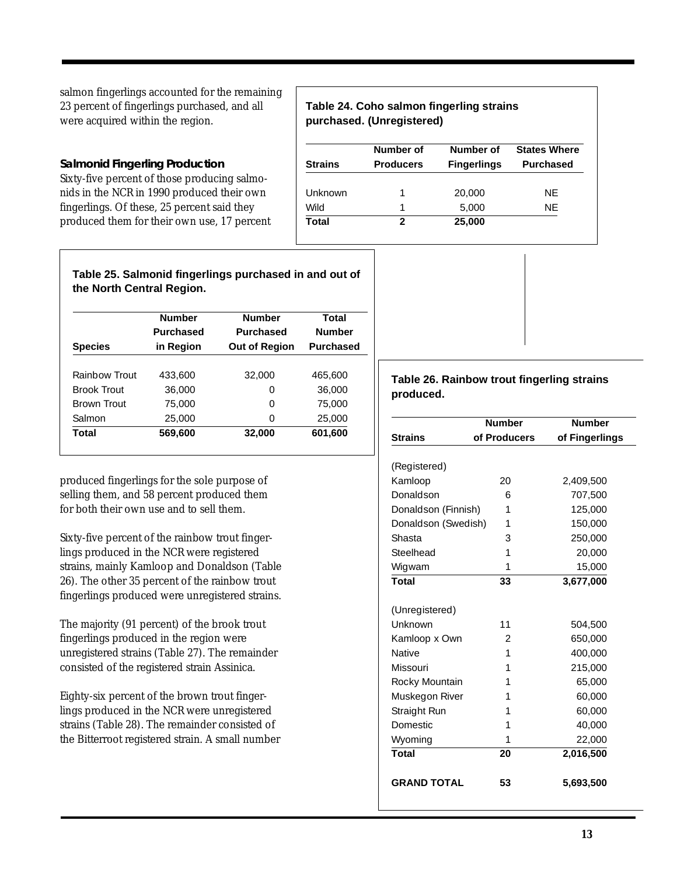salmon fingerlings accounted for the remaining 23 percent of fingerlings purchased, and all were acquired within the region.

**Salmonid Fingerling Production** Sixty-five percent of those producing salmonids in the NCR in 1990 produced their own fingerlings. Of these, 25 percent said they produced them for their own use, 17 percent

### **Table 24. Coho salmon fingerling strains purchased. (Unregistered)**

|                | Number of        | Number of          | <b>States Where</b> |
|----------------|------------------|--------------------|---------------------|
| <b>Strains</b> | <b>Producers</b> | <b>Fingerlings</b> | <b>Purchased</b>    |
|                |                  |                    |                     |
| Unknown        | 1                | 20,000             | NE.                 |
| Wild           | 1                | 5,000              | NF                  |
| Total          | 2                | 25,000             |                     |

### **Table 25. Salmonid fingerlings purchased in and out of the North Central Region.**

|                    | <b>Number</b><br><b>Purchased</b> | <b>Number</b><br><b>Purchased</b> | Total<br><b>Number</b> |
|--------------------|-----------------------------------|-----------------------------------|------------------------|
| <b>Species</b>     | in Region                         | <b>Out of Region</b>              | <b>Purchased</b>       |
|                    |                                   |                                   |                        |
| Rainbow Trout      | 433,600                           | 32,000                            | 465,600                |
| <b>Brook Trout</b> | 36,000                            | 0                                 | 36,000                 |
| <b>Brown Trout</b> | 75,000                            | 0                                 | 75,000                 |
| Salmon             | 25,000                            | ∩                                 | 25,000                 |
| Total              | 569,600                           | 32,000                            | 601,600                |

produced fingerlings for the sole purpose of selling them, and 58 percent produced them for both their own use and to sell them.

Sixty-five percent of the rainbow trout fingerlings produced in the NCR were registered strains, mainly Kamloop and Donaldson (Table 26). The other 35 percent of the rainbow trout fingerlings produced were unregistered strains.

The majority (91 percent) of the brook trout fingerlings produced in the region were unregistered strains (Table 27). The remainder consisted of the registered strain Assinica.

Eighty-six percent of the brown trout fingerlings produced in the NCR were unregistered strains (Table 28). The remainder consisted of the Bitterroot registered strain. A small number

## **Table 26. Rainbow trout fingerling strains produced.**

|                     | <b>Number</b> | <b>Number</b>  |
|---------------------|---------------|----------------|
| <b>Strains</b>      | of Producers  | of Fingerlings |
|                     |               |                |
| (Registered)        |               |                |
| Kamloop             | 20            | 2,409,500      |
| Donaldson           | 6             | 707,500        |
| Donaldson (Finnish) | 1             | 125,000        |
| Donaldson (Swedish) | 1             | 150,000        |
| Shasta              | 3             | 250,000        |
| Steelhead           | 1             | 20,000         |
| Wigwam              | 1             | 15,000         |
| <b>Total</b>        | 33            | 3,677,000      |
|                     |               |                |
| (Unregistered)      |               |                |
| Unknown             | 11            | 504,500        |
| Kamloop x Own       | 2             | 650,000        |
| <b>Native</b>       | 1             | 400,000        |
| Missouri            | 1             | 215,000        |
| Rocky Mountain      | 1             | 65,000         |
| Muskegon River      | 1             | 60,000         |
| Straight Run        | 1             | 60,000         |
| <b>Domestic</b>     | 1             | 40,000         |
| Wyoming             | 1             | 22,000         |
| <b>Total</b>        | 20            | 2,016,500      |
| <b>GRAND TOTAL</b>  | 53            | 5,693,500      |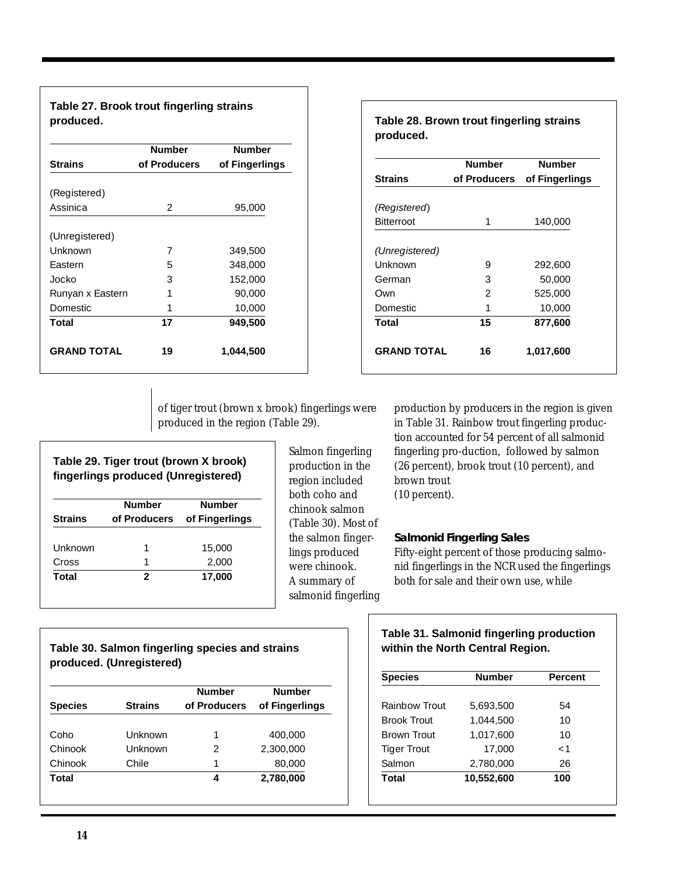**Table 27. Brook trout fingerling strains produced.**

|                    | <b>Number</b> | <b>Number</b>  |
|--------------------|---------------|----------------|
| <b>Strains</b>     | of Producers  | of Fingerlings |
| (Registered)       |               |                |
|                    |               |                |
| Assinica           | $\mathcal{P}$ | 95,000         |
| (Unregistered)     |               |                |
| Unknown            | 7             | 349,500        |
| Eastern            | 5             | 348,000        |
| Jocko              | 3             | 152,000        |
| Runyan x Eastern   | 1             | 90,000         |
| Domestic.          | 1             | 10,000         |
| <b>Total</b>       | 17            | 949,500        |
| <b>GRAND TOTAL</b> | 19            | 1,044,500      |

|                    | <b>Number</b> | <b>Number</b>  |
|--------------------|---------------|----------------|
| <b>Strains</b>     | of Producers  | of Fingerlings |
| (Registered)       |               |                |
| <b>Bitterroot</b>  | 1             | 140,000        |
| (Unregistered)     |               |                |
| Unknown            | 9             | 292,600        |
| German             | 3             | 50,000         |
| Own                | 2             | 525,000        |
| <b>Domestic</b>    | 1             | 10,000         |
| Total              | 15            | 877,600        |
| <b>GRAND TOTAL</b> | 16            | 1,017,600      |

of tiger trout (brown x brook) fingerlings were produced in the region (Table 29).

| Table 29. Tiger trout (brown X brook)<br>fingerlings produced (Unregistered) |                |  |
|------------------------------------------------------------------------------|----------------|--|
| <b>Number</b>                                                                | <b>Number</b>  |  |
| of Producers                                                                 | of Fingerlings |  |
|                                                                              |                |  |
| 1                                                                            | 15,000         |  |
| 1                                                                            | 2,000          |  |
| 2                                                                            | 17,000         |  |
|                                                                              |                |  |

Salmon fingerling production in the region included both coho and chinook salmon (Table 30). Most of the salmon fingerlings produced were chinook. A summary of salmonid fingerling

production by producers in the region is given in Table 31. Rainbow trout fingerling production accounted for 54 percent of all salmonid fingerling pro-duction, followed by salmon (26 percent), brook trout (10 percent), and brown trout (10 percent).

# **Salmonid Fingerling Sales** Fifty-eight percent of those producing salmonid fingerlings in the NCR used the fingerlings both for sale and their own use, while

# **Table 30. Salmon fingerling species and strains produced. (Unregistered)**

|                |                | <b>Number</b> | <b>Number</b>  |
|----------------|----------------|---------------|----------------|
| <b>Species</b> | <b>Strains</b> | of Producers  | of Fingerlings |
|                |                |               |                |
| Coho           | Unknown        | 1             | 400,000        |
| Chinook        | Unknown        | 2             | 2,300,000      |
| Chinook        | Chile          | 1             | 80,000         |
| Total          |                | 4             | 2,780,000      |

# **Table 31. Salmonid fingerling production within the North Central Region.**

| <b>Species</b>     | <b>Number</b> | <b>Percent</b> |
|--------------------|---------------|----------------|
|                    |               |                |
| Rainbow Trout      | 5,693,500     | 54             |
| <b>Brook Trout</b> | 1,044,500     | 10             |
| <b>Brown Trout</b> | 1.017.600     | 10             |
| <b>Tiger Trout</b> | 17,000        | $\lt1$         |
| Salmon             | 2.780.000     | 26             |
| Total              | 10,552,600    | 100            |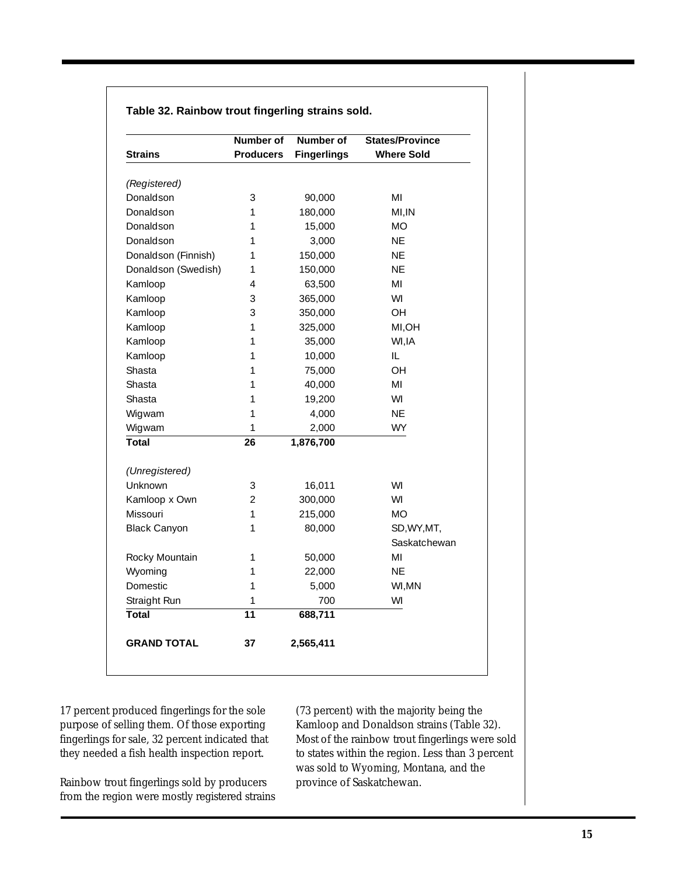|                     | <b>Number of</b> | <b>Number of</b>   | <b>States/Province</b> |
|---------------------|------------------|--------------------|------------------------|
| <b>Strains</b>      | <b>Producers</b> | <b>Fingerlings</b> | <b>Where Sold</b>      |
| (Registered)        |                  |                    |                        |
| Donaldson           | 3                | 90,000             | ΜI                     |
| Donaldson           | 1                | 180,000            | MI, IN                 |
| Donaldson           | 1                | 15,000             | МO                     |
| Donaldson           | 1                | 3,000              | NE                     |
| Donaldson (Finnish) | 1                | 150,000            | ΝE                     |
| Donaldson (Swedish) | 1                | 150,000            | ΝE                     |
| Kamloop             | $\overline{4}$   | 63,500             | MI                     |
| Kamloop             | 3                | 365,000            | WI                     |
| Kamloop             | 3                | 350,000            | <b>OH</b>              |
| Kamloop             | 1                | 325,000            | MI, OH                 |
| Kamloop             | 1                | 35,000             | WI, IA                 |
| Kamloop             | 1                | 10,000             | IL                     |
| Shasta              | 1                | 75,000             | OH                     |
| Shasta              | 1                | 40,000             | MI                     |
| Shasta              | 1                | 19,200             | WI                     |
| Wigwam              | 1                | 4,000              | <b>NE</b>              |
| Wigwam              | 1                | 2,000              | <b>WY</b>              |
| <b>Total</b>        | 26               | 1,876,700          |                        |
|                     |                  |                    |                        |
| (Unregistered)      |                  |                    |                        |
| Unknown             | 3                | 16,011             | WI                     |
| Kamloop x Own       | $\overline{2}$   | 300,000            | WI                     |
| Missouri            | 1                | 215,000            | <b>MO</b>              |
| <b>Black Canyon</b> | 1                | 80,000             | SD, WY, MT,            |
|                     |                  |                    | Saskatchewan           |
| Rocky Mountain      | 1                | 50,000             | ΜI                     |
| Wyoming             | 1                | 22,000             | ΝE                     |
| Domestic            | 1                | 5,000              | WI, MN                 |
| Straight Run        | 1                | 700                | WI                     |
| <b>Total</b>        | $\overline{11}$  | 688,711            |                        |
| <b>GRAND TOTAL</b>  | 37               | 2,565,411          |                        |

# **Table 32. Rainbow trout fingerling strains sold.**

17 percent produced fingerlings for the sole purpose of selling them. Of those exporting fingerlings for sale, 32 percent indicated that they needed a fish health inspection report.

Rainbow trout fingerlings sold by producers from the region were mostly registered strains

(73 percent) with the majority being the Kamloop and Donaldson strains (Table 32). Most of the rainbow trout fingerlings were sold to states within the region. Less than 3 percent was sold to Wyoming, Montana, and the province of Saskatchewan.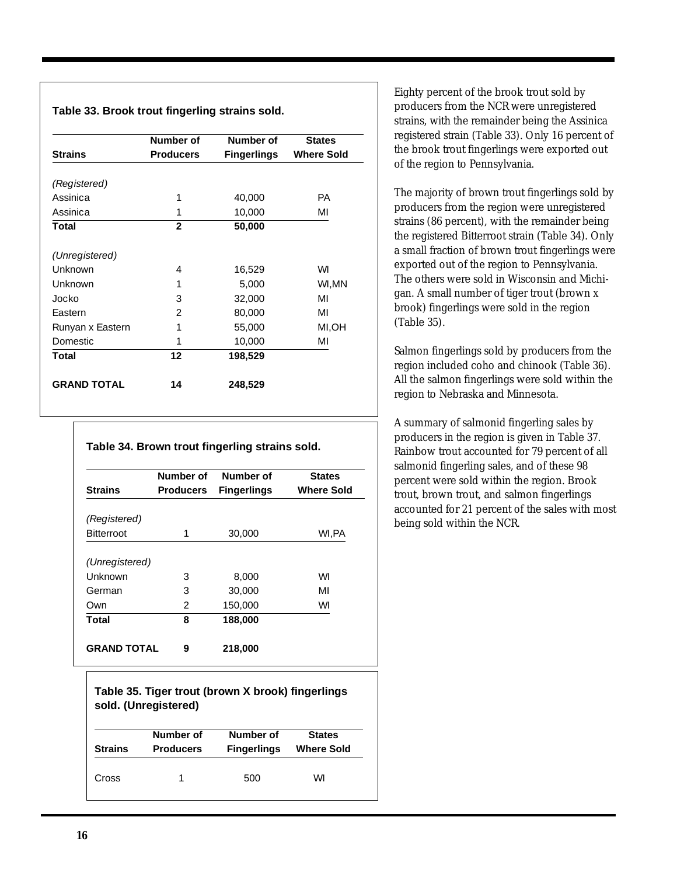### **Table 33. Brook trout fingerling strains sold.**

|                    | Number of                              | Number of | <b>States</b>     |  |
|--------------------|----------------------------------------|-----------|-------------------|--|
| <b>Strains</b>     | <b>Producers</b><br><b>Fingerlings</b> |           | <b>Where Sold</b> |  |
| (Registered)       |                                        |           |                   |  |
| Assinica           | 1                                      | 40,000    | PА                |  |
| Assinica           | 1                                      | 10,000    | ΜI                |  |
| <b>Total</b>       | $\overline{2}$                         | 50,000    |                   |  |
| (Unregistered)     |                                        |           |                   |  |
| Unknown            | 4                                      | 16,529    | WI                |  |
| Unknown            | 1                                      | 5,000     | WI,MN             |  |
| Jocko              | 3                                      | 32,000    | MI                |  |
| Eastern            | $\mathfrak{D}$                         | 80,000    | MI                |  |
| Runyan x Eastern   | 1                                      | 55,000    | MI,OH             |  |
| <b>Domestic</b>    | 1                                      | 10,000    | ΜI                |  |
| <b>Total</b>       | 12                                     | 198,529   |                   |  |
| <b>GRAND TOTAL</b> | 14                                     | 248,529   |                   |  |

|  | Table 34. Brown trout fingerling strains sold. |  |
|--|------------------------------------------------|--|
|  |                                                |  |

|                    | Number of        | Number of          | <b>States</b>     |  |
|--------------------|------------------|--------------------|-------------------|--|
| <b>Strains</b>     | <b>Producers</b> | <b>Fingerlings</b> | <b>Where Sold</b> |  |
|                    |                  |                    |                   |  |
| (Registered)       |                  |                    |                   |  |
| <b>Bitterroot</b>  | 1                | 30,000             | WI,PA             |  |
|                    |                  |                    |                   |  |
| (Unregistered)     |                  |                    |                   |  |
| Unknown            | 3                | 8,000              | WI                |  |
| German             | 3                | 30,000             | MI                |  |
| Own                | 2                | 150,000            | WI                |  |
| Total              | 8                | 188,000            |                   |  |
| <b>GRAND TOTAL</b> | 9                | 218,000            |                   |  |

# **Table 35. Tiger trout (brown X brook) fingerlings sold. (Unregistered)**

| <b>Strains</b> | Number of        | Number of          | <b>States</b>     |
|----------------|------------------|--------------------|-------------------|
|                | <b>Producers</b> | <b>Fingerlings</b> | <b>Where Sold</b> |
| Cross          |                  | 500                | WI                |

Eighty percent of the brook trout sold by producers from the NCR were unregistered strains, with the remainder being the Assinica registered strain (Table 33). Only 16 percent of the brook trout fingerlings were exported out of the region to Pennsylvania.

The majority of brown trout fingerlings sold by producers from the region were unregistered strains (86 percent), with the remainder being the registered Bitterroot strain (Table 34). Only a small fraction of brown trout fingerlings were exported out of the region to Pennsylvania. The others were sold in Wisconsin and Michigan. A small number of tiger trout (brown x brook) fingerlings were sold in the region (Table 35).

Salmon fingerlings sold by producers from the region included coho and chinook (Table 36). All the salmon fingerlings were sold within the region to Nebraska and Minnesota.

A summary of salmonid fingerling sales by producers in the region is given in Table 37. Rainbow trout accounted for 79 percent of all salmonid fingerling sales, and of these 98 percent were sold within the region. Brook trout, brown trout, and salmon fingerlings accounted for 21 percent of the sales with most being sold within the NCR.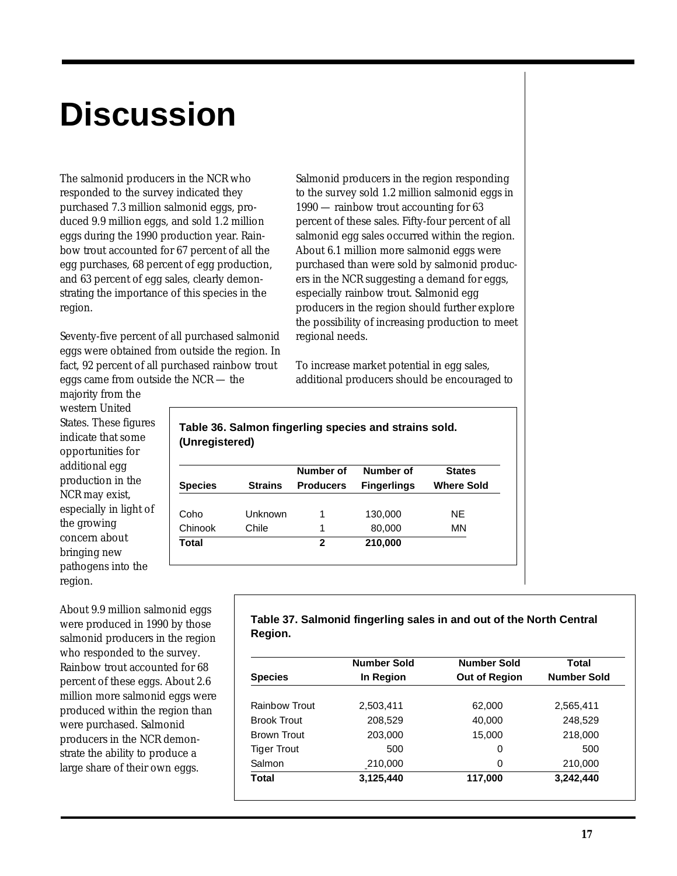# **Discussion**

The salmonid producers in the NCR who responded to the survey indicated they purchased 7.3 million salmonid eggs, produced 9.9 million eggs, and sold 1.2 million eggs during the 1990 production year. Rainbow trout accounted for 67 percent of all the egg purchases, 68 percent of egg production, and 63 percent of egg sales, clearly demonstrating the importance of this species in the region.

Seventy-five percent of all purchased salmonid eggs were obtained from outside the region. In fact, 92 percent of all purchased rainbow trout eggs came from outside the NCR — the

majority from the western United States. These figures indicate that some opportunities for additional egg production in the NCR may exist, especially in light of the growing concern about bringing new pathogens into the region.

About 9.9 million salmonid eggs were produced in 1990 by those salmonid producers in the region who responded to the survey. Rainbow trout accounted for 68 percent of these eggs. About 2.6 million more salmonid eggs were produced within the region than were purchased. Salmonid producers in the NCR demonstrate the ability to produce a large share of their own eggs.

Salmonid producers in the region responding to the survey sold 1.2 million salmonid eggs in 1990 — rainbow trout accounting for 63 percent of these sales. Fifty-four percent of all salmonid egg sales occurred within the region. About 6.1 million more salmonid eggs were purchased than were sold by salmonid producers in the NCR suggesting a demand for eggs, especially rainbow trout. Salmonid egg producers in the region should further explore the possibility of increasing production to meet regional needs.

To increase market potential in egg sales, additional producers should be encouraged to

| (Unregistered) |                |                  |                    |                   |
|----------------|----------------|------------------|--------------------|-------------------|
|                |                | Number of        | Number of          | <b>States</b>     |
| Species        | <b>Strains</b> | <b>Producers</b> | <b>Fingerlings</b> | <b>Where Sold</b> |
|                |                |                  |                    |                   |

**Table 36. Salmon fingerling species and strains sold.**

Coho Unknown 1 130,000 NE Chinook Chile 1 80,000 MN

**Total 2 210,000**

|         | Table 37. Salmonid fingerling sales in and out of the North Central |  |  |
|---------|---------------------------------------------------------------------|--|--|
| Region. |                                                                     |  |  |

|                    | <b>Number Sold</b> | <b>Number Sold</b>   | Total              |  |
|--------------------|--------------------|----------------------|--------------------|--|
| <b>Species</b>     | In Region          | <b>Out of Region</b> | <b>Number Sold</b> |  |
| Rainbow Trout      | 2,503,411          | 62,000               | 2.565.411          |  |
| <b>Brook Trout</b> | 208,529            | 40,000               | 248,529            |  |
| Brown Trout        | 203,000            | 15,000               | 218,000            |  |
| <b>Tiger Trout</b> | 500                | 0                    | 500                |  |
| Salmon             | 210,000            | $\Omega$             | 210,000            |  |
| Total              | 3,125,440          | 117,000              | 3,242,440          |  |